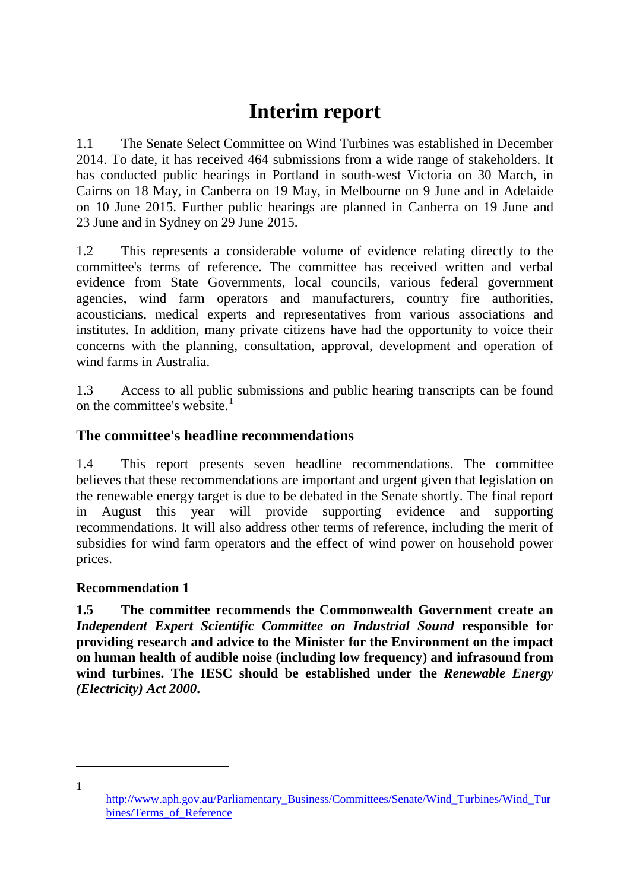# **Interim report**

1.1 The Senate Select Committee on Wind Turbines was established in December 2014. To date, it has received 464 submissions from a wide range of stakeholders. It has conducted public hearings in Portland in south-west Victoria on 30 March, in Cairns on 18 May, in Canberra on 19 May, in Melbourne on 9 June and in Adelaide on 10 June 2015. Further public hearings are planned in Canberra on 19 June and 23 June and in Sydney on 29 June 2015.

1.2 This represents a considerable volume of evidence relating directly to the committee's terms of reference. The committee has received written and verbal evidence from State Governments, local councils, various federal government agencies, wind farm operators and manufacturers, country fire authorities, acousticians, medical experts and representatives from various associations and institutes. In addition, many private citizens have had the opportunity to voice their concerns with the planning, consultation, approval, development and operation of wind farms in Australia.

1.3 Access to all public submissions and public hearing transcripts can be found on the committee's website.<sup>[1](#page-0-0)</sup>

## **The committee's headline recommendations**

1.4 This report presents seven headline recommendations. The committee believes that these recommendations are important and urgent given that legislation on the renewable energy target is due to be debated in the Senate shortly. The final report in August this year will provide supporting evidence and supporting recommendations. It will also address other terms of reference, including the merit of subsidies for wind farm operators and the effect of wind power on household power prices.

#### **Recommendation 1**

**1.5 The committee recommends the Commonwealth Government create an**  *Independent Expert Scientific Committee on Industrial Sound* **responsible for providing research and advice to the Minister for the Environment on the impact on human health of audible noise (including low frequency) and infrasound from wind turbines. The IESC should be established under the** *Renewable Energy (Electricity) Act 2000***.** 

<span id="page-0-0"></span>[http://www.aph.gov.au/Parliamentary\\_Business/Committees/Senate/Wind\\_Turbines/Wind\\_Tur](http://www.aph.gov.au/Parliamentary_Business/Committees/Senate/Wind_Turbines/Wind_Turbines/Terms_of_Reference) [bines/Terms\\_of\\_Reference](http://www.aph.gov.au/Parliamentary_Business/Committees/Senate/Wind_Turbines/Wind_Turbines/Terms_of_Reference)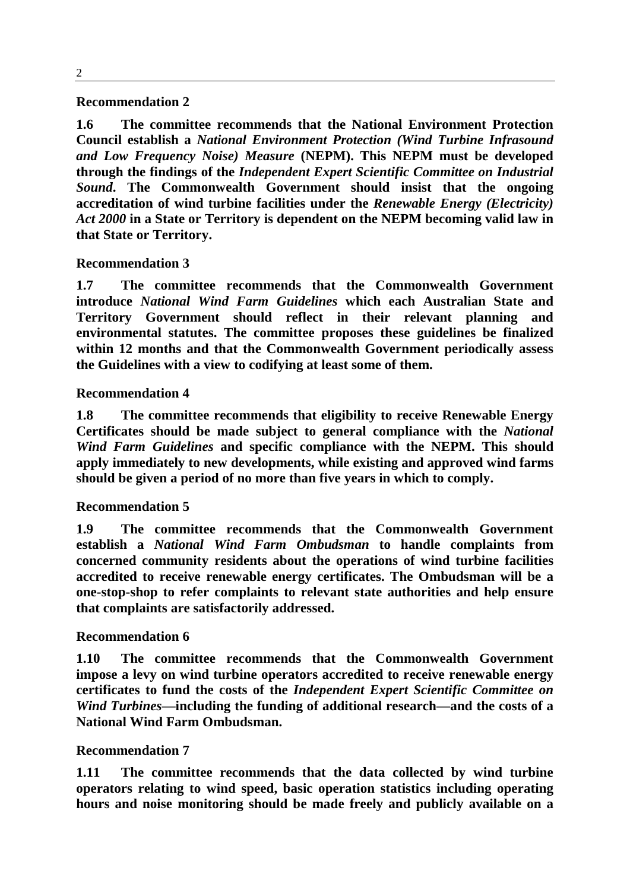#### **Recommendation 2**

**1.6 The committee recommends that the National Environment Protection Council establish a** *National Environment Protection (Wind Turbine Infrasound and Low Frequency Noise) Measure* **(NEPM). This NEPM must be developed through the findings of the** *Independent Expert Scientific Committee on Industrial Sound***. The Commonwealth Government should insist that the ongoing accreditation of wind turbine facilities under the** *Renewable Energy (Electricity) Act 2000* **in a State or Territory is dependent on the NEPM becoming valid law in that State or Territory.**

#### **Recommendation 3**

**1.7 The committee recommends that the Commonwealth Government introduce** *National Wind Farm Guidelines* **which each Australian State and Territory Government should reflect in their relevant planning and environmental statutes. The committee proposes these guidelines be finalized within 12 months and that the Commonwealth Government periodically assess the Guidelines with a view to codifying at least some of them.**

#### **Recommendation 4**

**1.8 The committee recommends that eligibility to receive Renewable Energy Certificates should be made subject to general compliance with the** *National Wind Farm Guidelines* **and specific compliance with the NEPM. This should apply immediately to new developments, while existing and approved wind farms should be given a period of no more than five years in which to comply.**

#### **Recommendation 5**

**1.9 The committee recommends that the Commonwealth Government establish a** *National Wind Farm Ombudsman* **to handle complaints from concerned community residents about the operations of wind turbine facilities accredited to receive renewable energy certificates. The Ombudsman will be a one-stop-shop to refer complaints to relevant state authorities and help ensure that complaints are satisfactorily addressed.**

#### **Recommendation 6**

**1.10 The committee recommends that the Commonwealth Government impose a levy on wind turbine operators accredited to receive renewable energy certificates to fund the costs of the** *Independent Expert Scientific Committee on Wind Turbines***—including the funding of additional research—and the costs of a National Wind Farm Ombudsman.**

#### **Recommendation 7**

**1.11 The committee recommends that the data collected by wind turbine operators relating to wind speed, basic operation statistics including operating hours and noise monitoring should be made freely and publicly available on a**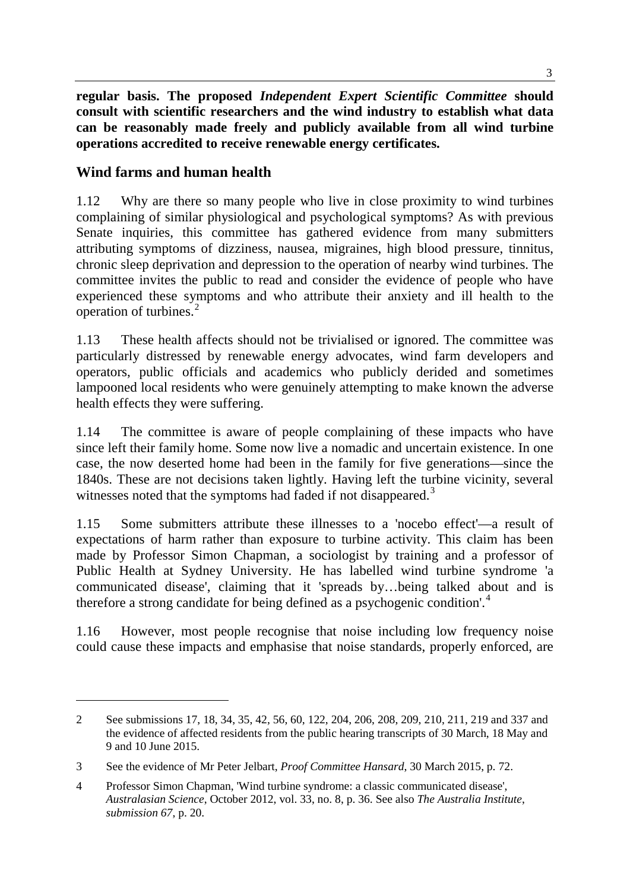**regular basis. The proposed** *Independent Expert Scientific Committee* **should consult with scientific researchers and the wind industry to establish what data can be reasonably made freely and publicly available from all wind turbine operations accredited to receive renewable energy certificates.**

#### **Wind farms and human health**

-

1.12 Why are there so many people who live in close proximity to wind turbines complaining of similar physiological and psychological symptoms? As with previous Senate inquiries, this committee has gathered evidence from many submitters attributing symptoms of dizziness, nausea, migraines, high blood pressure, tinnitus, chronic sleep deprivation and depression to the operation of nearby wind turbines. The committee invites the public to read and consider the evidence of people who have experienced these symptoms and who attribute their anxiety and ill health to the operation of turbines.[2](#page-2-0)

1.13 These health affects should not be trivialised or ignored. The committee was particularly distressed by renewable energy advocates, wind farm developers and operators, public officials and academics who publicly derided and sometimes lampooned local residents who were genuinely attempting to make known the adverse health effects they were suffering.

1.14 The committee is aware of people complaining of these impacts who have since left their family home. Some now live a nomadic and uncertain existence. In one case, the now deserted home had been in the family for five generations—since the 1840s. These are not decisions taken lightly. Having left the turbine vicinity, several witnesses noted that the symptoms had faded if not disappeared.<sup>[3](#page-2-1)</sup>

1.15 Some submitters attribute these illnesses to a 'nocebo effect'—a result of expectations of harm rather than exposure to turbine activity. This claim has been made by Professor Simon Chapman, a sociologist by training and a professor of Public Health at Sydney University. He has labelled wind turbine syndrome 'a communicated disease', claiming that it 'spreads by…being talked about and is therefore a strong candidate for being defined as a psychogenic condition'.<sup>[4](#page-2-2)</sup>

1.16 However, most people recognise that noise including low frequency noise could cause these impacts and emphasise that noise standards, properly enforced, are

<span id="page-2-0"></span><sup>2</sup> See submissions 17, 18, 34, 35, 42, 56, 60, 122, 204, 206, 208, 209, 210, 211, 219 and 337 and the evidence of affected residents from the public hearing transcripts of 30 March, 18 May and 9 and 10 June 2015.

<span id="page-2-1"></span><sup>3</sup> See the evidence of Mr Peter Jelbart, *Proof Committee Hansard*, 30 March 2015, p. 72.

<span id="page-2-2"></span><sup>4</sup> Professor Simon Chapman, 'Wind turbine syndrome: a classic communicated disease', *Australasian Science*, October 2012, vol. 33, no. 8, p. 36. See also *The Australia Institute*, *submission 67*, p. 20.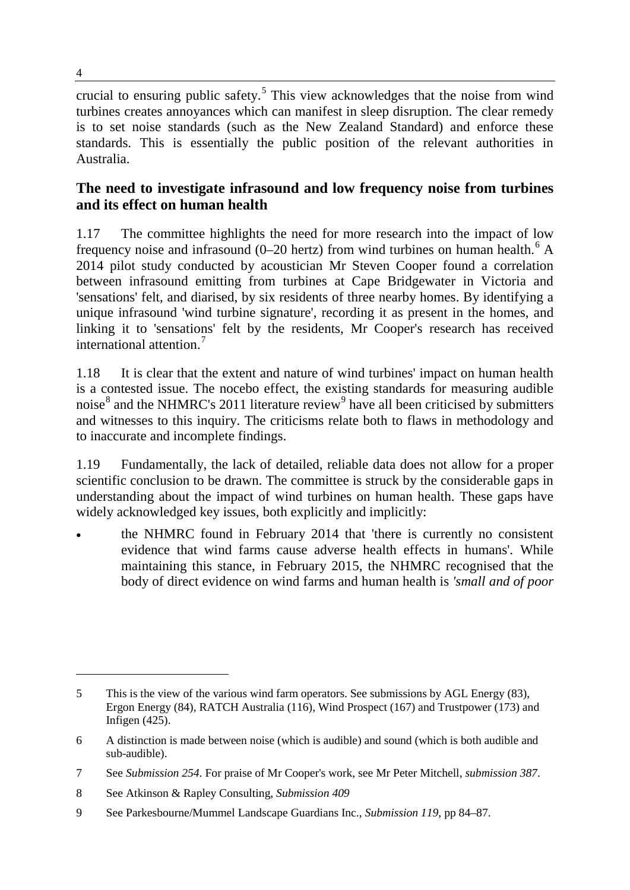crucial to ensuring public safety.<sup>[5](#page-3-0)</sup> This view acknowledges that the noise from wind turbines creates annoyances which can manifest in sleep disruption. The clear remedy is to set noise standards (such as the New Zealand Standard) and enforce these standards. This is essentially the public position of the relevant authorities in Australia.

## **The need to investigate infrasound and low frequency noise from turbines and its effect on human health**

1.17 The committee highlights the need for more research into the impact of low frequency noise and infrasound (0–20 hertz) from wind turbines on human health.<sup>[6](#page-3-1)</sup> A 2014 pilot study conducted by acoustician Mr Steven Cooper found a correlation between infrasound emitting from turbines at Cape Bridgewater in Victoria and 'sensations' felt, and diarised, by six residents of three nearby homes. By identifying a unique infrasound 'wind turbine signature', recording it as present in the homes, and linking it to 'sensations' felt by the residents, Mr Cooper's research has received international attention<sup>[7](#page-3-2)</sup>

1.18 It is clear that the extent and nature of wind turbines' impact on human health is a contested issue. The nocebo effect, the existing standards for measuring audible noise $8$  and the NHMRC's 2011 literature review<sup>[9](#page-3-4)</sup> have all been criticised by submitters and witnesses to this inquiry. The criticisms relate both to flaws in methodology and to inaccurate and incomplete findings.

1.19 Fundamentally, the lack of detailed, reliable data does not allow for a proper scientific conclusion to be drawn. The committee is struck by the considerable gaps in understanding about the impact of wind turbines on human health. These gaps have widely acknowledged key issues, both explicitly and implicitly:

• the NHMRC found in February 2014 that 'there is currently no consistent evidence that wind farms cause adverse health effects in humans'. While maintaining this stance, in February 2015, the NHMRC recognised that the body of direct evidence on wind farms and human health is *'small and of poor* 

<span id="page-3-0"></span><sup>5</sup> This is the view of the various wind farm operators. See submissions by AGL Energy (83), Ergon Energy (84), RATCH Australia (116), Wind Prospect (167) and Trustpower (173) and Infigen (425).

<span id="page-3-1"></span><sup>6</sup> A distinction is made between noise (which is audible) and sound (which is both audible and sub-audible).

<span id="page-3-2"></span><sup>7</sup> See *Submission 254*. For praise of Mr Cooper's work, see Mr Peter Mitchell, *submission 387*.

<span id="page-3-3"></span><sup>8</sup> See Atkinson & Rapley Consulting, *Submission 409*

<span id="page-3-4"></span><sup>9</sup> See Parkesbourne/Mummel Landscape Guardians Inc., *Submission 119*, pp 84–87.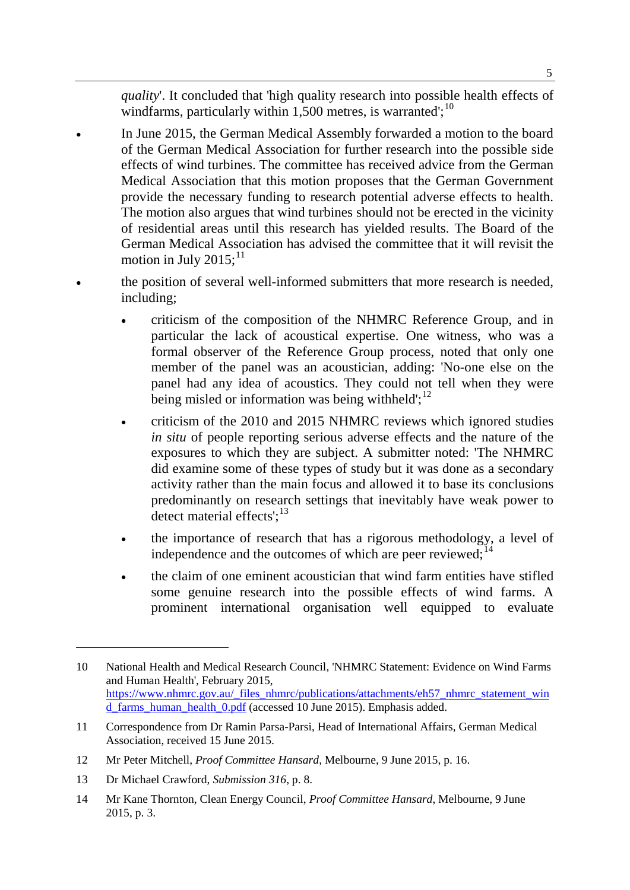*quality*'. It concluded that 'high quality research into possible health effects of windfarms, particularly within 1,500 metres, is warranted';  $^{10}$  $^{10}$  $^{10}$ 

- In June 2015, the German Medical Assembly forwarded a motion to the board of the German Medical Association for further research into the possible side effects of wind turbines. The committee has received advice from the German Medical Association that this motion proposes that the German Government provide the necessary funding to research potential adverse effects to health. The motion also argues that wind turbines should not be erected in the vicinity of residential areas until this research has yielded results. The Board of the German Medical Association has advised the committee that it will revisit the motion in July 2015; $^{11}$  $^{11}$  $^{11}$
- the position of several well-informed submitters that more research is needed, including;
	- criticism of the composition of the NHMRC Reference Group, and in particular the lack of acoustical expertise. One witness, who was a formal observer of the Reference Group process, noted that only one member of the panel was an acoustician, adding: 'No-one else on the panel had any idea of acoustics. They could not tell when they were being misled or information was being withheld'; $^{12}$  $^{12}$  $^{12}$
	- criticism of the 2010 and 2015 NHMRC reviews which ignored studies *in situ* of people reporting serious adverse effects and the nature of the exposures to which they are subject. A submitter noted: 'The NHMRC did examine some of these types of study but it was done as a secondary activity rather than the main focus and allowed it to base its conclusions predominantly on research settings that inevitably have weak power to detect material effects':<sup>[13](#page-4-3)</sup>
	- the importance of research that has a rigorous methodology, a level of independence and the outcomes of which are peer reviewed;  $14$
	- the claim of one eminent acoustician that wind farm entities have stifled some genuine research into the possible effects of wind farms. A prominent international organisation well equipped to evaluate

<span id="page-4-0"></span><sup>10</sup> National Health and Medical Research Council, 'NHMRC Statement: Evidence on Wind Farms and Human Health', February 2015, [https://www.nhmrc.gov.au/\\_files\\_nhmrc/publications/attachments/eh57\\_nhmrc\\_statement\\_win](https://www.nhmrc.gov.au/_files_nhmrc/publications/attachments/eh57_nhmrc_statement_wind_farms_human_health_0.pdf) d farms human health 0.pdf (accessed 10 June 2015). Emphasis added.

<span id="page-4-1"></span><sup>11</sup> Correspondence from Dr Ramin Parsa-Parsi, Head of International Affairs, German Medical Association, received 15 June 2015.

<span id="page-4-2"></span><sup>12</sup> Mr Peter Mitchell, *Proof Committee Hansard*, Melbourne, 9 June 2015, p. 16.

<span id="page-4-3"></span><sup>13</sup> Dr Michael Crawford, *Submission 316*, p. 8.

<span id="page-4-4"></span><sup>14</sup> Mr Kane Thornton, Clean Energy Council, *Proof Committee Hansard*, Melbourne, 9 June 2015, p. 3.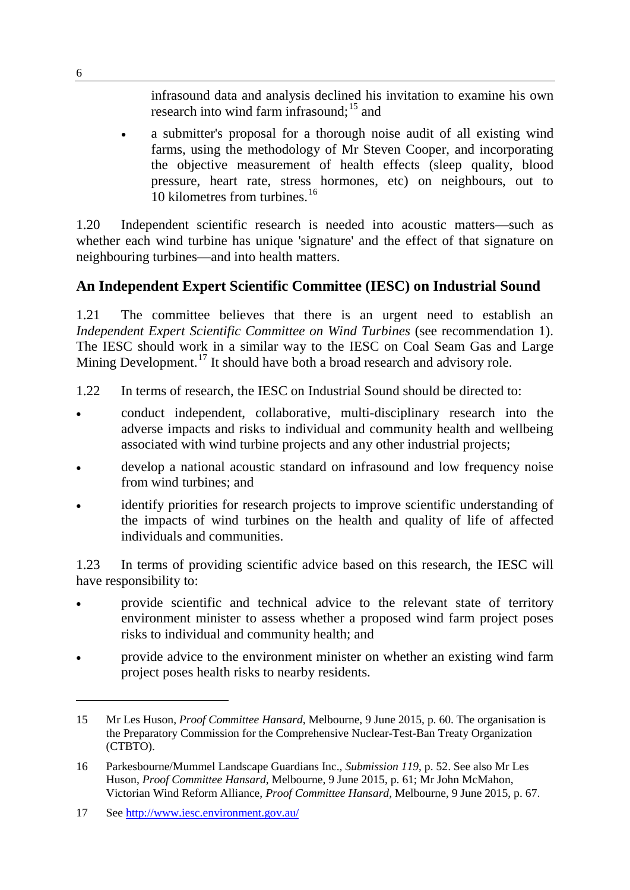infrasound data and analysis declined his invitation to examine his own research into wind farm infrasound;<sup>[15](#page-5-0)</sup> and

• a submitter's proposal for a thorough noise audit of all existing wind farms, using the methodology of Mr Steven Cooper, and incorporating the objective measurement of health effects (sleep quality, blood pressure, heart rate, stress hormones, etc) on neighbours, out to 10 kilometres from turbines.<sup>[16](#page-5-1)</sup>

1.20 Independent scientific research is needed into acoustic matters—such as whether each wind turbine has unique 'signature' and the effect of that signature on neighbouring turbines—and into health matters.

## **An Independent Expert Scientific Committee (IESC) on Industrial Sound**

1.21 The committee believes that there is an urgent need to establish an *Independent Expert Scientific Committee on Wind Turbines* (see recommendation 1). The IESC should work in a similar way to the IESC on Coal Seam Gas and Large Mining Development.<sup>[17](#page-5-2)</sup> It should have both a broad research and advisory role.

- 1.22 In terms of research, the IESC on Industrial Sound should be directed to:
- conduct independent, collaborative, multi-disciplinary research into the adverse impacts and risks to individual and community health and wellbeing associated with wind turbine projects and any other industrial projects;
- develop a national acoustic standard on infrasound and low frequency noise from wind turbines; and
- identify priorities for research projects to improve scientific understanding of the impacts of wind turbines on the health and quality of life of affected individuals and communities.

1.23 In terms of providing scientific advice based on this research, the IESC will have responsibility to:

- provide scientific and technical advice to the relevant state of territory environment minister to assess whether a proposed wind farm project poses risks to individual and community health; and
- provide advice to the environment minister on whether an existing wind farm project poses health risks to nearby residents.

<span id="page-5-0"></span><sup>15</sup> Mr Les Huson, *Proof Committee Hansard*, Melbourne, 9 June 2015, p. 60. The organisation is the Preparatory Commission for the Comprehensive Nuclear-Test-Ban Treaty Organization (CTBTO).

<span id="page-5-1"></span><sup>16</sup> Parkesbourne/Mummel Landscape Guardians Inc., *Submission 119*, p. 52. See also Mr Les Huson, *Proof Committee Hansard*, Melbourne, 9 June 2015, p. 61; Mr John McMahon, Victorian Wind Reform Alliance, *Proof Committee Hansard*, Melbourne, 9 June 2015, p. 67.

<span id="page-5-2"></span><sup>17</sup> See<http://www.iesc.environment.gov.au/>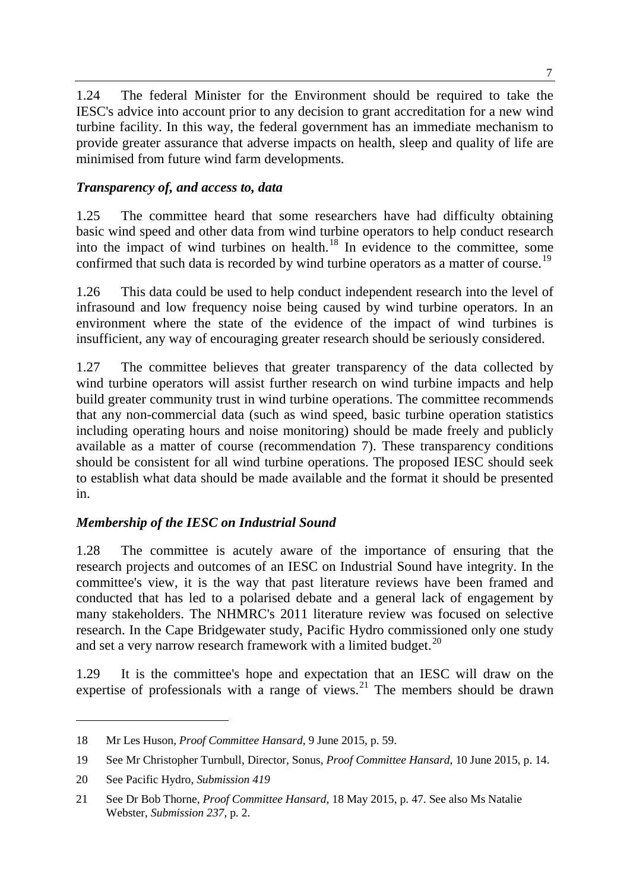1.24 The federal Minister for the Environment should be required to take the IESC's advice into account prior to any decision to grant accreditation for a new wind turbine facility. In this way, the federal government has an immediate mechanism to provide greater assurance that adverse impacts on health, sleep and quality of life are minimised from future wind farm developments.

### *Transparency of, and access to, data*

1.25 The committee heard that some researchers have had difficulty obtaining basic wind speed and other data from wind turbine operators to help conduct research into the impact of wind turbines on health. $18$  In evidence to the committee, some confirmed that such data is recorded by wind turbine operators as a matter of course.<sup>[19](#page-6-1)</sup>

1.26 This data could be used to help conduct independent research into the level of infrasound and low frequency noise being caused by wind turbine operators. In an environment where the state of the evidence of the impact of wind turbines is insufficient, any way of encouraging greater research should be seriously considered.

1.27 The committee believes that greater transparency of the data collected by wind turbine operators will assist further research on wind turbine impacts and help build greater community trust in wind turbine operations. The committee recommends that any non-commercial data (such as wind speed, basic turbine operation statistics including operating hours and noise monitoring) should be made freely and publicly available as a matter of course (recommendation 7). These transparency conditions should be consistent for all wind turbine operations. The proposed IESC should seek to establish what data should be made available and the format it should be presented in.

#### *Membership of the IESC on Industrial Sound*

1.28 The committee is acutely aware of the importance of ensuring that the research projects and outcomes of an IESC on Industrial Sound have integrity. In the committee's view, it is the way that past literature reviews have been framed and conducted that has led to a polarised debate and a general lack of engagement by many stakeholders. The NHMRC's 2011 literature review was focused on selective research. In the Cape Bridgewater study, Pacific Hydro commissioned only one study and set a very narrow research framework with a limited budget.<sup>[20](#page-6-2)</sup>

1.29 It is the committee's hope and expectation that an IESC will draw on the expertise of professionals with a range of views.<sup>[21](#page-6-3)</sup> The members should be drawn

<span id="page-6-0"></span><sup>18</sup> Mr Les Huson, *Proof Committee Hansard*, 9 June 2015, p. 59.

<span id="page-6-1"></span><sup>19</sup> See Mr Christopher Turnbull, Director, Sonus, *Proof Committee Hansard*, 10 June 2015, p. 14.

<span id="page-6-2"></span><sup>20</sup> See Pacific Hydro, *Submission 419*

<span id="page-6-3"></span><sup>21</sup> See Dr Bob Thorne, *Proof Committee Hansard*, 18 May 2015, p. 47. See also Ms Natalie Webster, *Submission 237*, p. 2.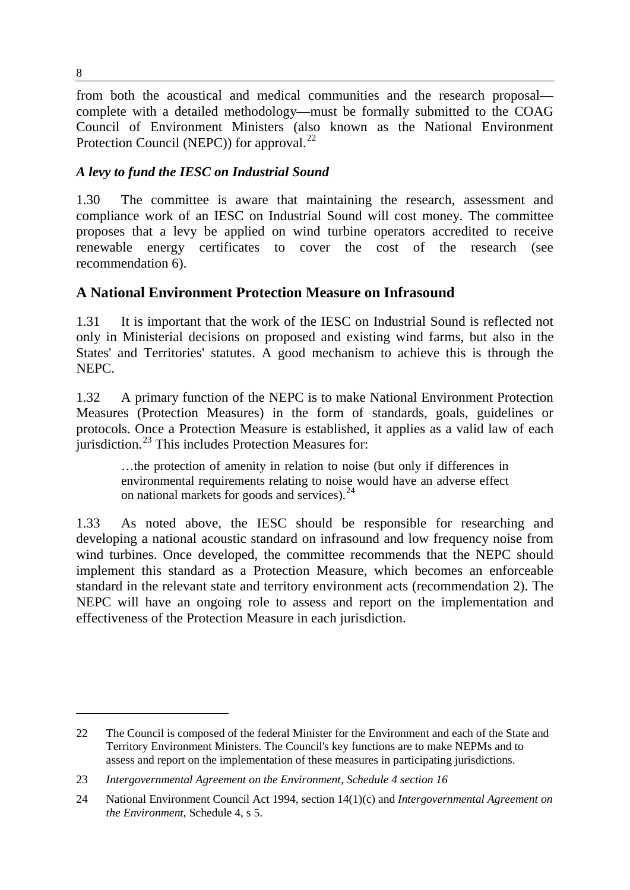from both the acoustical and medical communities and the research proposal complete with a detailed methodology—must be formally submitted to the COAG Council of Environment Ministers (also known as the National Environment Protection Council (NEPC)) for approval.<sup>[22](#page-7-0)</sup>

### *A levy to fund the IESC on Industrial Sound*

1.30 The committee is aware that maintaining the research, assessment and compliance work of an IESC on Industrial Sound will cost money. The committee proposes that a levy be applied on wind turbine operators accredited to receive renewable energy certificates to cover the cost of the research (see recommendation 6).

# **A National Environment Protection Measure on Infrasound**

1.31 It is important that the work of the IESC on Industrial Sound is reflected not only in Ministerial decisions on proposed and existing wind farms, but also in the States' and Territories' statutes. A good mechanism to achieve this is through the NEPC.

1.32 A primary function of the NEPC is to make National Environment Protection Measures (Protection Measures) in the form of standards, goals, guidelines or protocols. Once a Protection Measure is established, it applies as a valid law of each jurisdiction. $^{23}$  $^{23}$  $^{23}$  This includes Protection Measures for:

…the protection of amenity in relation to noise (but only if differences in environmental requirements relating to noise would have an adverse effect on national markets for goods and services).<sup>[24](#page-7-2)</sup>

1.33 As noted above, the IESC should be responsible for researching and developing a national acoustic standard on infrasound and low frequency noise from wind turbines. Once developed, the committee recommends that the NEPC should implement this standard as a Protection Measure, which becomes an enforceable standard in the relevant state and territory environment acts (recommendation 2). The NEPC will have an ongoing role to assess and report on the implementation and effectiveness of the Protection Measure in each jurisdiction.

<span id="page-7-0"></span><sup>22</sup> The Council is composed of the federal Minister for the Environment and each of the State and Territory Environment Ministers. The Council's key functions are to make NEPMs and to assess and report on the implementation of these measures in participating jurisdictions.

<span id="page-7-1"></span><sup>23</sup> *Intergovernmental Agreement on the Environment, Schedule 4 section 16*

<span id="page-7-2"></span><sup>24</sup> National Environment Council Act 1994, section 14(1)(c) and *Intergovernmental Agreement on the Environment*, Schedule 4, s 5.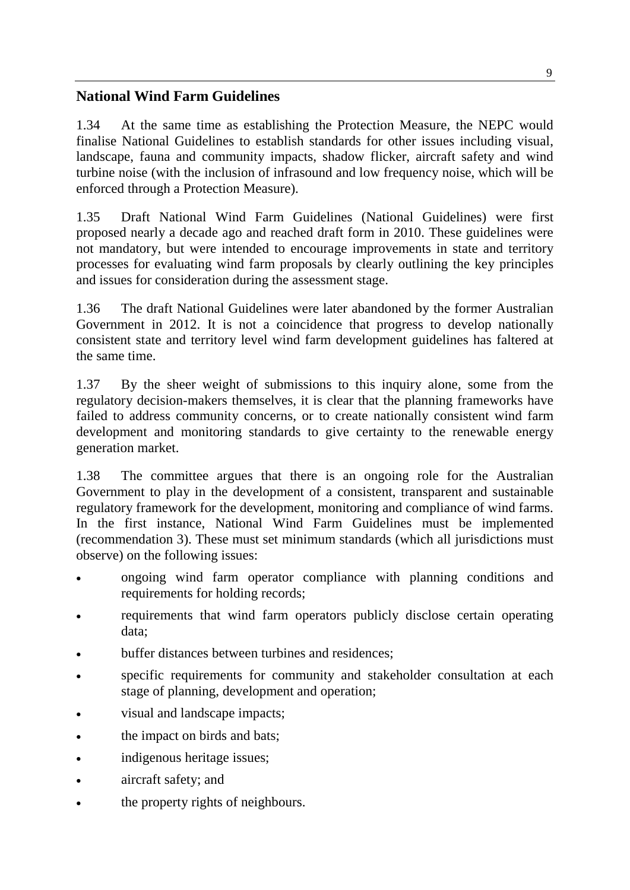## **National Wind Farm Guidelines**

1.34 At the same time as establishing the Protection Measure, the NEPC would finalise National Guidelines to establish standards for other issues including visual, landscape, fauna and community impacts, shadow flicker, aircraft safety and wind turbine noise (with the inclusion of infrasound and low frequency noise, which will be enforced through a Protection Measure).

1.35 Draft National Wind Farm Guidelines (National Guidelines) were first proposed nearly a decade ago and reached draft form in 2010. These guidelines were not mandatory, but were intended to encourage improvements in state and territory processes for evaluating wind farm proposals by clearly outlining the key principles and issues for consideration during the assessment stage.

1.36 The draft National Guidelines were later abandoned by the former Australian Government in 2012. It is not a coincidence that progress to develop nationally consistent state and territory level wind farm development guidelines has faltered at the same time.

1.37 By the sheer weight of submissions to this inquiry alone, some from the regulatory decision-makers themselves, it is clear that the planning frameworks have failed to address community concerns, or to create nationally consistent wind farm development and monitoring standards to give certainty to the renewable energy generation market.

1.38 The committee argues that there is an ongoing role for the Australian Government to play in the development of a consistent, transparent and sustainable regulatory framework for the development, monitoring and compliance of wind farms. In the first instance, National Wind Farm Guidelines must be implemented (recommendation 3). These must set minimum standards (which all jurisdictions must observe) on the following issues:

- ongoing wind farm operator compliance with planning conditions and requirements for holding records;
- requirements that wind farm operators publicly disclose certain operating data;
- buffer distances between turbines and residences;
- specific requirements for community and stakeholder consultation at each stage of planning, development and operation;
- visual and landscape impacts;
- the impact on birds and bats;
- indigenous heritage issues;
- aircraft safety; and
- the property rights of neighbours.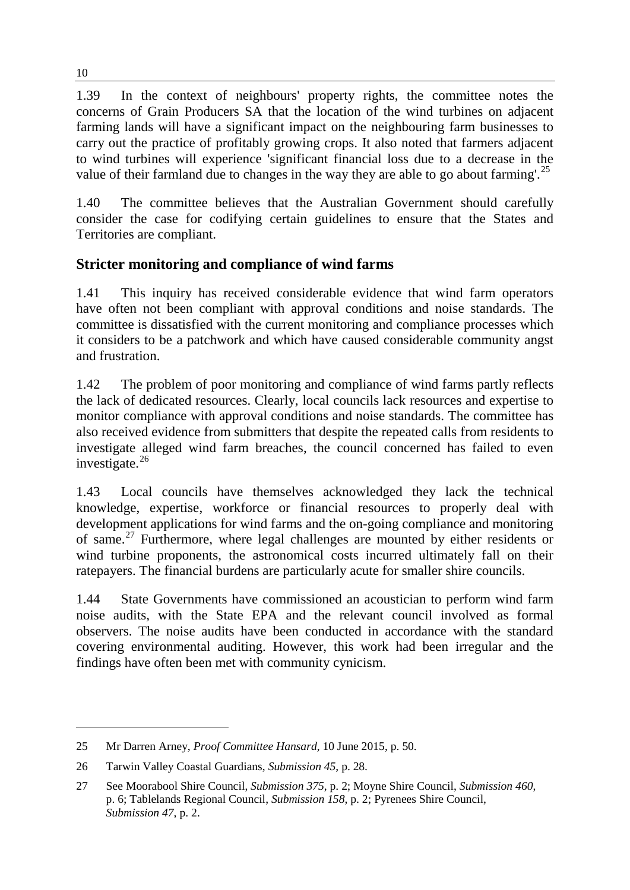1.39 In the context of neighbours' property rights, the committee notes the concerns of Grain Producers SA that the location of the wind turbines on adjacent farming lands will have a significant impact on the neighbouring farm businesses to carry out the practice of profitably growing crops. It also noted that farmers adjacent to wind turbines will experience 'significant financial loss due to a decrease in the value of their farmland due to changes in the way they are able to go about farming'.<sup>[25](#page-9-0)</sup>

1.40 The committee believes that the Australian Government should carefully consider the case for codifying certain guidelines to ensure that the States and Territories are compliant.

## **Stricter monitoring and compliance of wind farms**

1.41 This inquiry has received considerable evidence that wind farm operators have often not been compliant with approval conditions and noise standards. The committee is dissatisfied with the current monitoring and compliance processes which it considers to be a patchwork and which have caused considerable community angst and frustration.

1.42 The problem of poor monitoring and compliance of wind farms partly reflects the lack of dedicated resources. Clearly, local councils lack resources and expertise to monitor compliance with approval conditions and noise standards. The committee has also received evidence from submitters that despite the repeated calls from residents to investigate alleged wind farm breaches, the council concerned has failed to even investigate.<sup>[26](#page-9-1)</sup>

1.43 Local councils have themselves acknowledged they lack the technical knowledge, expertise, workforce or financial resources to properly deal with development applications for wind farms and the on-going compliance and monitoring of same.[27](#page-9-2) Furthermore, where legal challenges are mounted by either residents or wind turbine proponents, the astronomical costs incurred ultimately fall on their ratepayers. The financial burdens are particularly acute for smaller shire councils.

1.44 State Governments have commissioned an acoustician to perform wind farm noise audits, with the State EPA and the relevant council involved as formal observers. The noise audits have been conducted in accordance with the standard covering environmental auditing. However, this work had been irregular and the findings have often been met with community cynicism.

<span id="page-9-0"></span><sup>25</sup> Mr Darren Arney, *Proof Committee Hansard*, 10 June 2015, p. 50.

<span id="page-9-1"></span><sup>26</sup> Tarwin Valley Coastal Guardians, *Submission 45*, p. 28.

<span id="page-9-2"></span><sup>27</sup> See Moorabool Shire Council, *Submission 375*, p. 2; Moyne Shire Council, *Submission 460*, p. 6; Tablelands Regional Council, *Submission 158*, p. 2; Pyrenees Shire Council, *Submission 47*, p. 2.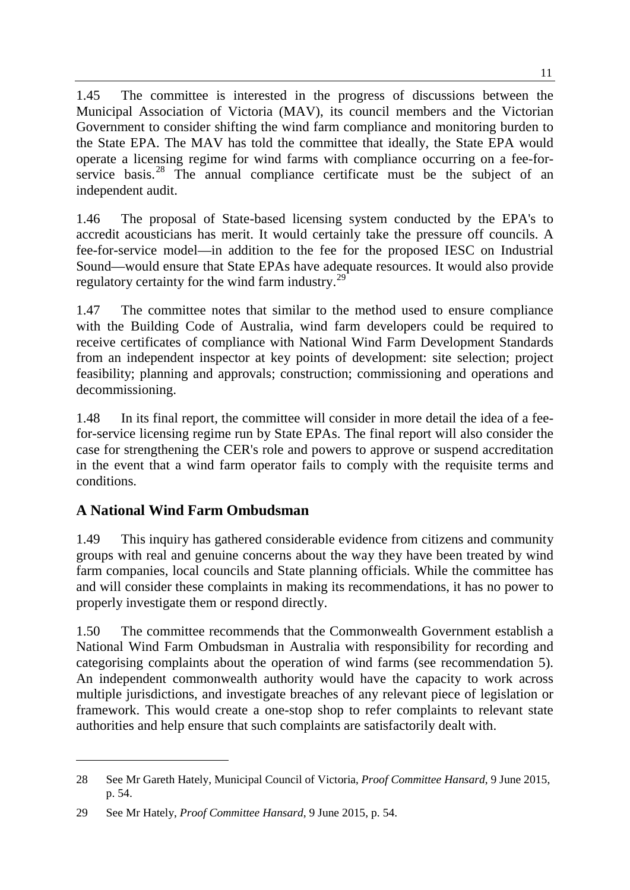1.45 The committee is interested in the progress of discussions between the Municipal Association of Victoria (MAV), its council members and the Victorian Government to consider shifting the wind farm compliance and monitoring burden to the State EPA. The MAV has told the committee that ideally, the State EPA would operate a licensing regime for wind farms with compliance occurring on a fee-for-service basis.<sup>[28](#page-10-0)</sup> The annual compliance certificate must be the subject of an independent audit.

1.46 The proposal of State-based licensing system conducted by the EPA's to accredit acousticians has merit. It would certainly take the pressure off councils. A fee-for-service model—in addition to the fee for the proposed IESC on Industrial Sound—would ensure that State EPAs have adequate resources. It would also provide regulatory certainty for the wind farm industry.<sup>[29](#page-10-1)</sup>

1.47 The committee notes that similar to the method used to ensure compliance with the Building Code of Australia, wind farm developers could be required to receive certificates of compliance with National Wind Farm Development Standards from an independent inspector at key points of development: site selection; project feasibility; planning and approvals; construction; commissioning and operations and decommissioning.

1.48 In its final report, the committee will consider in more detail the idea of a feefor-service licensing regime run by State EPAs. The final report will also consider the case for strengthening the CER's role and powers to approve or suspend accreditation in the event that a wind farm operator fails to comply with the requisite terms and conditions.

# **A National Wind Farm Ombudsman**

-

1.49 This inquiry has gathered considerable evidence from citizens and community groups with real and genuine concerns about the way they have been treated by wind farm companies, local councils and State planning officials. While the committee has and will consider these complaints in making its recommendations, it has no power to properly investigate them or respond directly.

1.50 The committee recommends that the Commonwealth Government establish a National Wind Farm Ombudsman in Australia with responsibility for recording and categorising complaints about the operation of wind farms (see recommendation 5). An independent commonwealth authority would have the capacity to work across multiple jurisdictions, and investigate breaches of any relevant piece of legislation or framework. This would create a one-stop shop to refer complaints to relevant state authorities and help ensure that such complaints are satisfactorily dealt with.

<span id="page-10-0"></span><sup>28</sup> See Mr Gareth Hately, Municipal Council of Victoria, *Proof Committee Hansard*, 9 June 2015, p. 54.

<span id="page-10-1"></span><sup>29</sup> See Mr Hately, *Proof Committee Hansard*, 9 June 2015, p. 54.